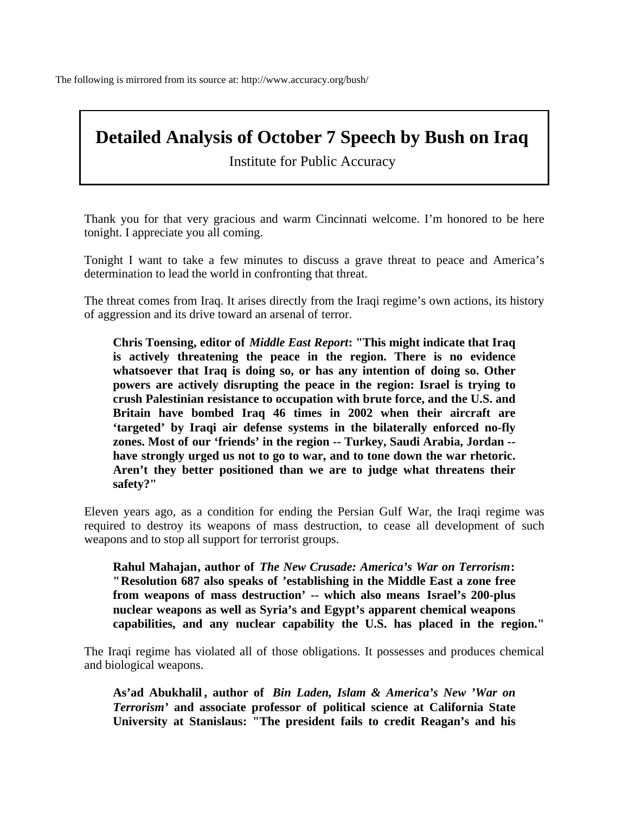The following is mirrored from its source at: http://www.accuracy.org/bush/

# **Detailed Analysis of October 7 Speech by Bush on Iraq**

Institute for Public Accuracy

Thank you for that very gracious and warm Cincinnati welcome. I'm honored to be here tonight. I appreciate you all coming.

Tonight I want to take a few minutes to discuss a grave threat to peace and America's determination to lead the world in confronting that threat.

The threat comes from Iraq. It arises directly from the Iraqi regime's own actions, its history of aggression and its drive toward an arsenal of terror.

**Chris Toensing, editor of** *Middle East Report***: "This might indicate that Iraq is actively threatening the peace in the region. There is no evidence whatsoever that Iraq is doing so, or has any intention of doing so. Other powers are actively disrupting the peace in the region: Israel is trying to crush Palestinian resistance to occupation with brute force, and the U.S. and Britain have bombed Iraq 46 times in 2002 when their aircraft are 'targeted' by Iraqi air defense systems in the bilaterally enforced no-fly zones. Most of our 'friends' in the region -- Turkey, Saudi Arabia, Jordan - have strongly urged us not to go to war, and to tone down the war rhetoric. Aren't they better positioned than we are to judge what threatens their safety?"**

Eleven years ago, as a condition for ending the Persian Gulf War, the Iraqi regime was required to destroy its weapons of mass destruction, to cease all development of such weapons and to stop all support for terrorist groups.

**Rahul Mahajan, author of** *The New Crusade: America's War on Terrorism***: "Resolution 687 also speaks of 'establishing in the Middle East a zone free from weapons of mass destruction' -- which also means Israel's 200-plus nuclear weapons as well as Syria's and Egypt's apparent chemical weapons capabilities, and any nuclear capability the U.S. has placed in the region."**

The Iraqi regime has violated all of those obligations. It possesses and produces chemical and biological weapons.

**As'ad Abukhalil , author of** *Bin Laden, Islam & America's New 'War on Terrorism'* **and associate professor of political science at California State University at Stanislaus: "The president fails to credit Reagan's and his**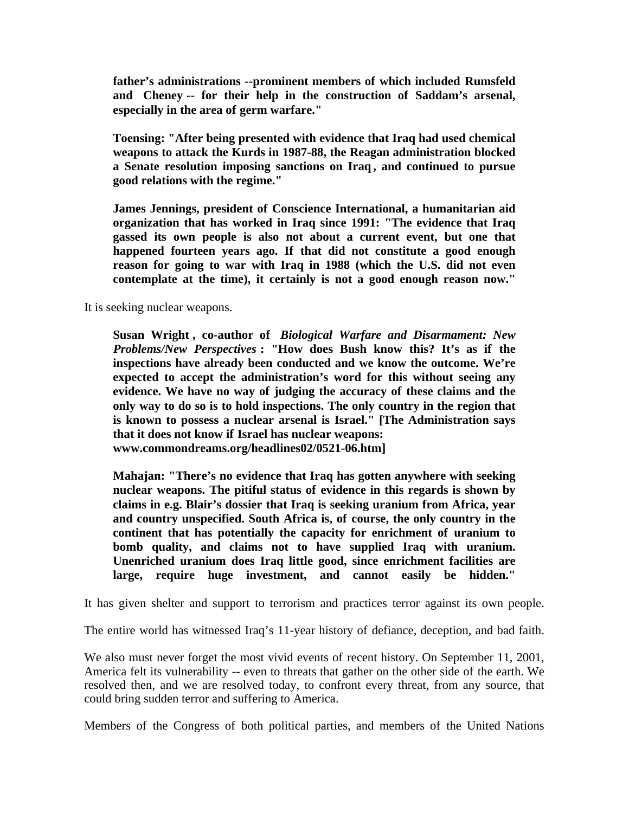**father's administrations --prominent members of which included Rumsfeld and Cheney -- for their help in the construction of Saddam's arsenal, especially in the area of germ warfare."**

**Toensing: "After being presented with evidence that Iraq had used chemical weapons to attack the Kurds in 1987-88, the Reagan administration blocked a Senate resolution imposing sanctions on Iraq , and continued to pursue good relations with the regime."**

**James Jennings, president of Conscience International, a humanitarian aid organization that has worked in Iraq since 1991: "The evidence that Iraq gassed its own people is also not about a current event, but one that happened fourteen years ago. If that did not constitute a good enough reason for going to war with Iraq in 1988 (which the U.S. did not even contemplate at the time), it certainly is not a good enough reason now."**

It is seeking nuclear weapons.

**Susan Wright , co-author of** *Biological Warfare and Disarmament: New Problems/New Perspectives* **: "How does Bush know this? It's as if the inspections have already been conducted and we know the outcome. We're expected to accept the administration's word for this without seeing any evidence. We have no way of judging the accuracy of these claims and the only way to do so is to hold inspections. The only country in the region that is known to possess a nuclear arsenal is Israel." [The Administration says that it does not know if Israel has nuclear weapons: www.commondreams.org/headlines02/0521-06.htm]**

**Mahajan: "There's no evidence that Iraq has gotten anywhere with seeking nuclear weapons. The pitiful status of evidence in this regards is shown by claims in e.g. Blair's dossier that Iraq is seeking uranium from Africa, year and country unspecified. South Africa is, of course, the only country in the continent that has potentially the capacity for enrichment of uranium to bomb quality, and claims not to have supplied Iraq with uranium. Unenriched uranium does Iraq little good, since enrichment facilities are large, require huge investment, and cannot easily be hidden."**

It has given shelter and support to terrorism and practices terror against its own people.

The entire world has witnessed Iraq's 11-year history of defiance, deception, and bad faith.

We also must never forget the most vivid events of recent history. On September 11, 2001, America felt its vulnerability -- even to threats that gather on the other side of the earth. We resolved then, and we are resolved today, to confront every threat, from any source, that could bring sudden terror and suffering to America.

Members of the Congress of both political parties, and members of the United Nations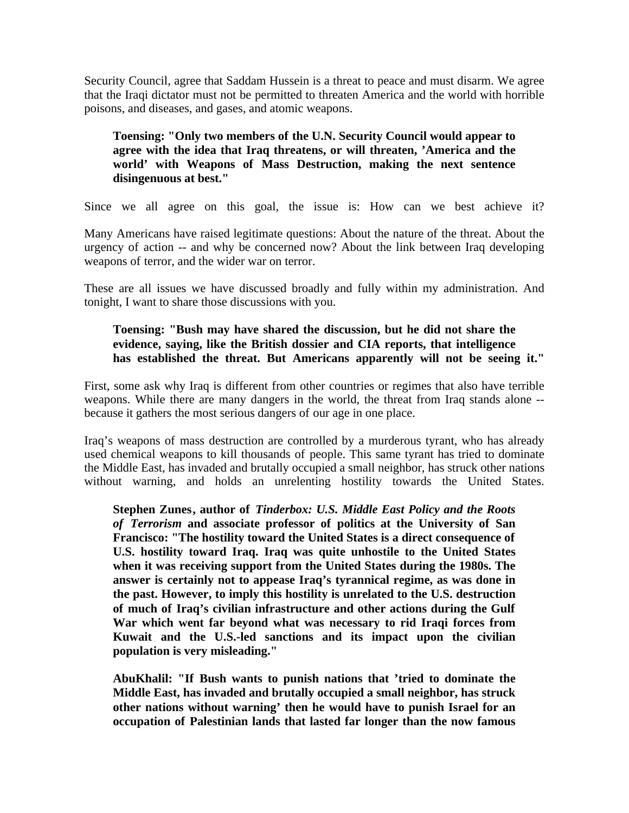Security Council, agree that Saddam Hussein is a threat to peace and must disarm. We agree that the Iraqi dictator must not be permitted to threaten America and the world with horrible poisons, and diseases, and gases, and atomic weapons.

## **Toensing: "Only two members of the U.N. Security Council would appear to agree with the idea that Iraq threatens, or will threaten, 'America and the world' with Weapons of Mass Destruction, making the next sentence disingenuous at best."**

Since we all agree on this goal, the issue is: How can we best achieve it?

Many Americans have raised legitimate questions: About the nature of the threat. About the urgency of action -- and why be concerned now? About the link between Iraq developing weapons of terror, and the wider war on terror.

These are all issues we have discussed broadly and fully within my administration. And tonight, I want to share those discussions with you.

## **Toensing: "Bush may have shared the discussion, but he did not share the evidence, saying, like the British dossier and CIA reports, that intelligence has established the threat. But Americans apparently will not be seeing it."**

First, some ask why Iraq is different from other countries or regimes that also have terrible weapons. While there are many dangers in the world, the threat from Iraq stands alone - because it gathers the most serious dangers of our age in one place.

Iraq's weapons of mass destruction are controlled by a murderous tyrant, who has already used chemical weapons to kill thousands of people. This same tyrant has tried to dominate the Middle East, has invaded and brutally occupied a small neighbor, has struck other nations without warning, and holds an unrelenting hostility towards the United States.

**Stephen Zunes, author of** *Tinderbox: U.S. Middle East Policy and the Roots of Terrorism* **and associate professor of politics at the University of San Francisco: "The hostility toward the United States is a direct consequence of U.S. hostility toward Iraq. Iraq was quite unhostile to the United States when it was receiving support from the United States during the 1980s. The answer is certainly not to appease Iraq's tyrannical regime, as was done in the past. However, to imply this hostility is unrelated to the U.S. destruction of much of Iraq's civilian infrastructure and other actions during the Gulf War which went far beyond what was necessary to rid Iraqi forces from Kuwait and the U.S.-led sanctions and its impact upon the civilian population is very misleading."**

**AbuKhalil: "If Bush wants to punish nations that 'tried to dominate the Middle East, has invaded and brutally occupied a small neighbor, has struck other nations without warning' then he would have to punish Israel for an occupation of Palestinian lands that lasted far longer than the now famous**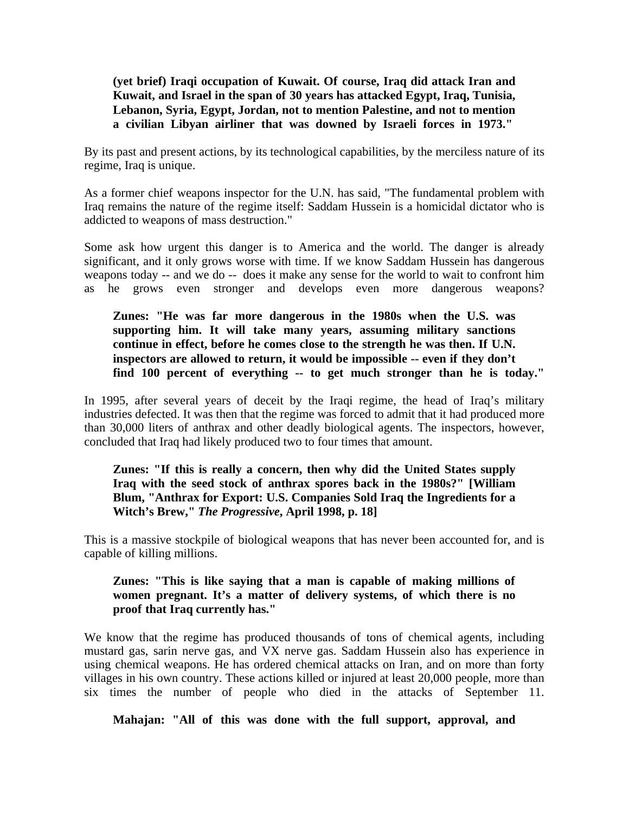**(yet brief) Iraqi occupation of Kuwait. Of course, Iraq did attack Iran and Kuwait, and Israel in the span of 30 years has attacked Egypt, Iraq, Tunisia, Lebanon, Syria, Egypt, Jordan, not to mention Palestine, and not to mention a civilian Libyan airliner that was downed by Israeli forces in 1973."** 

By its past and present actions, by its technological capabilities, by the merciless nature of its regime, Iraq is unique.

As a former chief weapons inspector for the U.N. has said, "The fundamental problem with Iraq remains the nature of the regime itself: Saddam Hussein is a homicidal dictator who is addicted to weapons of mass destruction."

Some ask how urgent this danger is to America and the world. The danger is already significant, and it only grows worse with time. If we know Saddam Hussein has dangerous weapons today -- and we do -- does it make any sense for the world to wait to confront him as he grows even stronger and develops even more dangerous weapons?

**Zunes: "He was far more dangerous in the 1980s when the U.S. was supporting him. It will take many years, assuming military sanctions continue in effect, before he comes close to the strength he was then. If U.N. inspectors are allowed to return, it would be impossible -- even if they don't find 100 percent of everything -- to get much stronger than he is today."**

In 1995, after several years of deceit by the Iraqi regime, the head of Iraq's military industries defected. It was then that the regime was forced to admit that it had produced more than 30,000 liters of anthrax and other deadly biological agents. The inspectors, however, concluded that Iraq had likely produced two to four times that amount.

## **Zunes: "If this is really a concern, then why did the United States supply Iraq with the seed stock of anthrax spores back in the 1980s?" [William Blum, "Anthrax for Export: U.S. Companies Sold Iraq the Ingredients for a Witch's Brew,"** *The Progressive***, April 1998, p. 18]**

This is a massive stockpile of biological weapons that has never been accounted for, and is capable of killing millions.

## **Zunes: "This is like saying that a man is capable of making millions of women pregnant. It's a matter of delivery systems, of which there is no proof that Iraq currently has."**

We know that the regime has produced thousands of tons of chemical agents, including mustard gas, sarin nerve gas, and VX nerve gas. Saddam Hussein also has experience in using chemical weapons. He has ordered chemical attacks on Iran, and on more than forty villages in his own country. These actions killed or injured at least 20,000 people, more than six times the number of people who died in the attacks of September 11.

**Mahajan: "All of this was done with the full support, approval, and**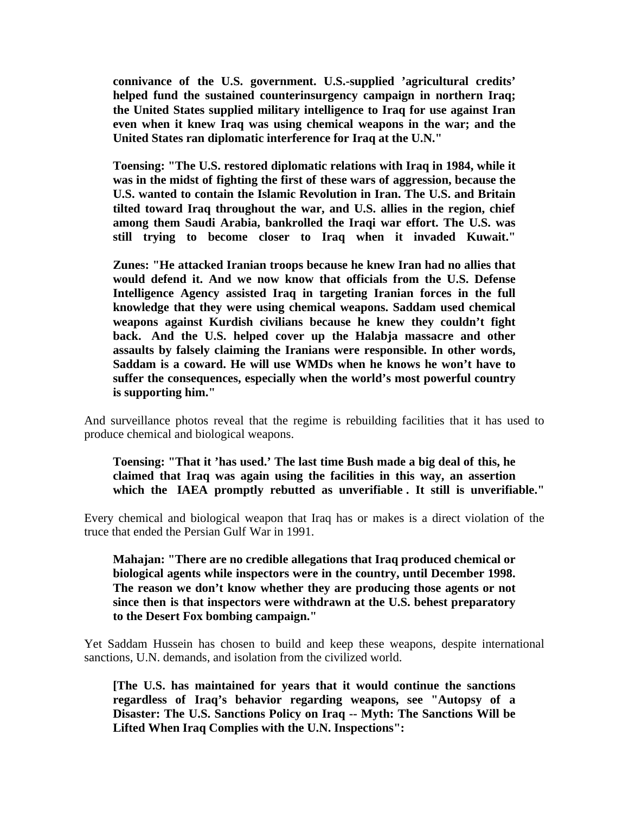**connivance of the U.S. government. U.S.-supplied 'agricultural credits' helped fund the sustained counterinsurgency campaign in northern Iraq; the United States supplied military intelligence to Iraq for use against Iran even when it knew Iraq was using chemical weapons in the war; and the United States ran diplomatic interference for Iraq at the U.N."**

**Toensing: "The U.S. restored diplomatic relations with Iraq in 1984, while it was in the midst of fighting the first of these wars of aggression, because the U.S. wanted to contain the Islamic Revolution in Iran. The U.S. and Britain tilted toward Iraq throughout the war, and U.S. allies in the region, chief among them Saudi Arabia, bankrolled the Iraqi war effort. The U.S. was still trying to become closer to Iraq when it invaded Kuwait."**

**Zunes: "He attacked Iranian troops because he knew Iran had no allies that would defend it. And we now know that officials from the U.S. Defense Intelligence Agency assisted Iraq in targeting Iranian forces in the full knowledge that they were using chemical weapons. Saddam used chemical weapons against Kurdish civilians because he knew they couldn't fight back. And the U.S. helped cover up the Halabja massacre and other assaults by falsely claiming the Iranians were responsible. In other words, Saddam is a coward. He will use WMDs when he knows he won't have to suffer the consequences, especially when the world's most powerful country is supporting him."**

And surveillance photos reveal that the regime is rebuilding facilities that it has used to produce chemical and biological weapons.

## **Toensing: "That it 'has used.' The last time Bush made a big deal of this, he claimed that Iraq was again using the facilities in this way, an assertion which the IAEA promptly rebutted as unverifiable . It still is unverifiable."**

Every chemical and biological weapon that Iraq has or makes is a direct violation of the truce that ended the Persian Gulf War in 1991.

**Mahajan: "There are no credible allegations that Iraq produced chemical or biological agents while inspectors were in the country, until December 1998. The reason we don't know whether they are producing those agents or not since then is that inspectors were withdrawn at the U.S. behest preparatory to the Desert Fox bombing campaign."**

Yet Saddam Hussein has chosen to build and keep these weapons, despite international sanctions, U.N. demands, and isolation from the civilized world.

**[The U.S. has maintained for years that it would continue the sanctions regardless of Iraq's behavior regarding weapons, see "Autopsy of a Disaster: The U.S. Sanctions Policy on Iraq -- Myth: The Sanctions Will be Lifted When Iraq Complies with the U.N. Inspections":**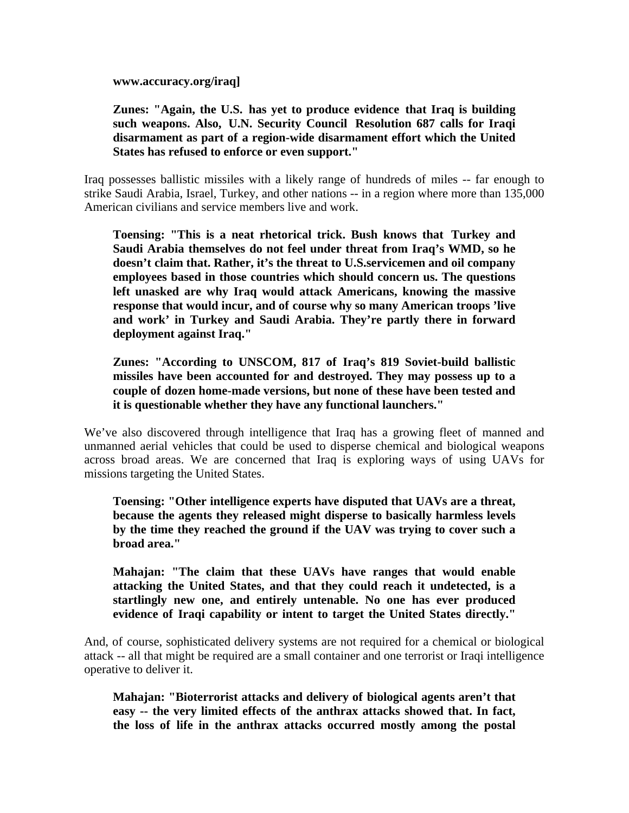**www.accuracy.org/iraq]**

**Zunes: "Again, the U.S. has yet to produce evidence that Iraq is building such weapons. Also, U.N. Security Council Resolution 687 calls for Iraqi disarmament as part of a region-wide disarmament effort which the United States has refused to enforce or even support."**

Iraq possesses ballistic missiles with a likely range of hundreds of miles -- far enough to strike Saudi Arabia, Israel, Turkey, and other nations -- in a region where more than 135,000 American civilians and service members live and work.

**Toensing: "This is a neat rhetorical trick. Bush knows that Turkey and Saudi Arabia themselves do not feel under threat from Iraq's WMD, so he doesn't claim that. Rather, it's the threat to U.S.servicemen and oil company employees based in those countries which should concern us. The questions left unasked are why Iraq would attack Americans, knowing the massive response that would incur, and of course why so many American troops 'live and work' in Turkey and Saudi Arabia. They're partly there in forward deployment against Iraq."**

**Zunes: "According to UNSCOM, 817 of Iraq's 819 Soviet-build ballistic missiles have been accounted for and destroyed. They may possess up to a couple of dozen home-made versions, but none of these have been tested and it is questionable whether they have any functional launchers."** 

We've also discovered through intelligence that Iraq has a growing fleet of manned and unmanned aerial vehicles that could be used to disperse chemical and biological weapons across broad areas. We are concerned that Iraq is exploring ways of using UAVs for missions targeting the United States.

**Toensing: "Other intelligence experts have disputed that UAVs are a threat, because the agents they released might disperse to basically harmless levels by the time they reached the ground if the UAV was trying to cover such a broad area."**

**Mahajan: "The claim that these UAVs have ranges that would enable attacking the United States, and that they could reach it undetected, is a startlingly new one, and entirely untenable. No one has ever produced evidence of Iraqi capability or intent to target the United States directly."**

And, of course, sophisticated delivery systems are not required for a chemical or biological attack -- all that might be required are a small container and one terrorist or Iraqi intelligence operative to deliver it.

**Mahajan: "Bioterrorist attacks and delivery of biological agents aren't that easy -- the very limited effects of the anthrax attacks showed that. In fact, the loss of life in the anthrax attacks occurred mostly among the postal**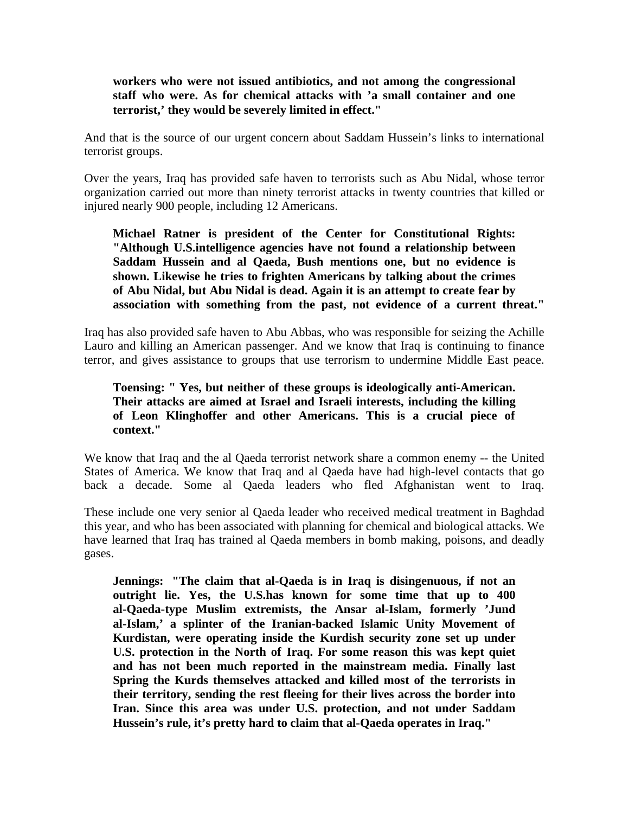### **workers who were not issued antibiotics, and not among the congressional staff who were. As for chemical attacks with 'a small container and one terrorist,' they would be severely limited in effect."**

And that is the source of our urgent concern about Saddam Hussein's links to international terrorist groups.

Over the years, Iraq has provided safe haven to terrorists such as Abu Nidal, whose terror organization carried out more than ninety terrorist attacks in twenty countries that killed or injured nearly 900 people, including 12 Americans.

## **Michael Ratner is president of the Center for Constitutional Rights: "Although U.S.intelligence agencies have not found a relationship between Saddam Hussein and al Qaeda, Bush mentions one, but no evidence is shown. Likewise he tries to frighten Americans by talking about the crimes of Abu Nidal, but Abu Nidal is dead. Again it is an attempt to create fear by association with something from the past, not evidence of a current threat."**

Iraq has also provided safe haven to Abu Abbas, who was responsible for seizing the Achille Lauro and killing an American passenger. And we know that Iraq is continuing to finance terror, and gives assistance to groups that use terrorism to undermine Middle East peace.

## **Toensing: " Yes, but neither of these groups is ideologically anti-American. Their attacks are aimed at Israel and Israeli interests, including the killing of Leon Klinghoffer and other Americans. This is a crucial piece of context."**

We know that Iraq and the al Qaeda terrorist network share a common enemy -- the United States of America. We know that Iraq and al Qaeda have had high-level contacts that go back a decade. Some al Qaeda leaders who fled Afghanistan went to Iraq.

These include one very senior al Qaeda leader who received medical treatment in Baghdad this year, and who has been associated with planning for chemical and biological attacks. We have learned that Iraq has trained al Qaeda members in bomb making, poisons, and deadly gases.

**Jennings: "The claim that al-Qaeda is in Iraq is disingenuous, if not an outright lie. Yes, the U.S.has known for some time that up to 400 al-Qaeda-type Muslim extremists, the Ansar al-Islam, formerly 'Jund al-Islam,' a splinter of the Iranian-backed Islamic Unity Movement of Kurdistan, were operating inside the Kurdish security zone set up under U.S. protection in the North of Iraq. For some reason this was kept quiet and has not been much reported in the mainstream media. Finally last Spring the Kurds themselves attacked and killed most of the terrorists in their territory, sending the rest fleeing for their lives across the border into Iran. Since this area was under U.S. protection, and not under Saddam Hussein's rule, it's pretty hard to claim that al-Qaeda operates in Iraq."**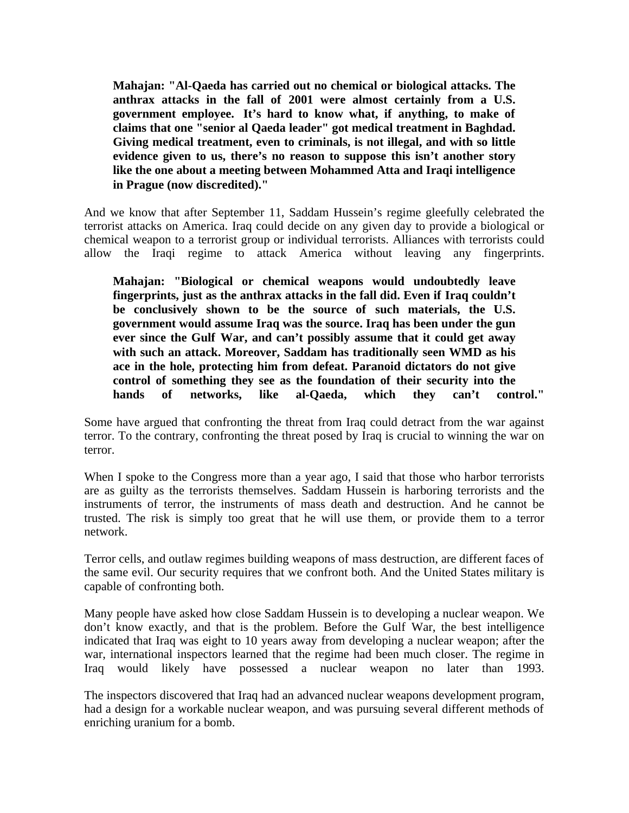**Mahajan: "Al-Qaeda has carried out no chemical or biological attacks. The anthrax attacks in the fall of 2001 were almost certainly from a U.S. government employee. It's hard to know what, if anything, to make of claims that one "senior al Qaeda leader" got medical treatment in Baghdad. Giving medical treatment, even to criminals, is not illegal, and with so little evidence given to us, there's no reason to suppose this isn't another story like the one about a meeting between Mohammed Atta and Iraqi intelligence in Prague (now discredited)."**

And we know that after September 11, Saddam Hussein's regime gleefully celebrated the terrorist attacks on America. Iraq could decide on any given day to provide a biological or chemical weapon to a terrorist group or individual terrorists. Alliances with terrorists could allow the Iraqi regime to attack America without leaving any fingerprints.

**Mahajan: "Biological or chemical weapons would undoubtedly leave fingerprints, just as the anthrax attacks in the fall did. Even if Iraq couldn't be conclusively shown to be the source of such materials, the U.S. government would assume Iraq was the source. Iraq has been under the gun ever since the Gulf War, and can't possibly assume that it could get away with such an attack. Moreover, Saddam has traditionally seen WMD as his ace in the hole, protecting him from defeat. Paranoid dictators do not give control of something they see as the foundation of their security into the hands of networks, like al-Qaeda, which they can't control."**

Some have argued that confronting the threat from Iraq could detract from the war against terror. To the contrary, confronting the threat posed by Iraq is crucial to winning the war on terror.

When I spoke to the Congress more than a year ago, I said that those who harbor terrorists are as guilty as the terrorists themselves. Saddam Hussein is harboring terrorists and the instruments of terror, the instruments of mass death and destruction. And he cannot be trusted. The risk is simply too great that he will use them, or provide them to a terror network.

Terror cells, and outlaw regimes building weapons of mass destruction, are different faces of the same evil. Our security requires that we confront both. And the United States military is capable of confronting both.

Many people have asked how close Saddam Hussein is to developing a nuclear weapon. We don't know exactly, and that is the problem. Before the Gulf War, the best intelligence indicated that Iraq was eight to 10 years away from developing a nuclear weapon; after the war, international inspectors learned that the regime had been much closer. The regime in Iraq would likely have possessed a nuclear weapon no later than 1993.

The inspectors discovered that Iraq had an advanced nuclear weapons development program, had a design for a workable nuclear weapon, and was pursuing several different methods of enriching uranium for a bomb.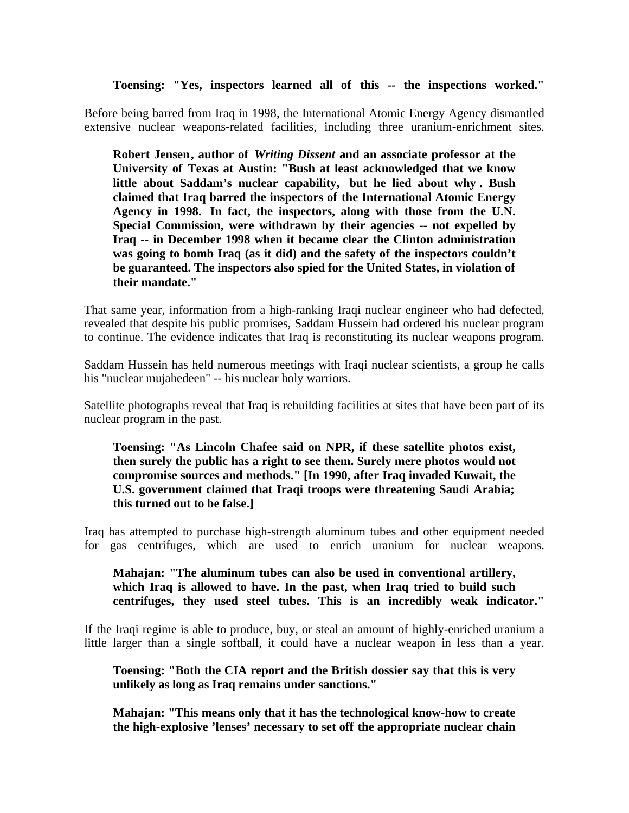#### **Toensing: "Yes, inspectors learned all of this -- the inspections worked."**

Before being barred from Iraq in 1998, the International Atomic Energy Agency dismantled extensive nuclear weapons-related facilities, including three uranium-enrichment sites.

**Robert Jensen, author of** *Writing Dissent* **and an associate professor at the University of Texas at Austin: "Bush at least acknowledged that we know little about Saddam's nuclear capability, but he lied about why . Bush claimed that Iraq barred the inspectors of the International Atomic Energy Agency in 1998. In fact, the inspectors, along with those from the U.N. Special Commission, were withdrawn by their agencies -- not expelled by Iraq -- in December 1998 when it became clear the Clinton administration was going to bomb Iraq (as it did) and the safety of the inspectors couldn't be guaranteed. The inspectors also spied for the United States, in violation of their mandate."**

That same year, information from a high-ranking Iraqi nuclear engineer who had defected, revealed that despite his public promises, Saddam Hussein had ordered his nuclear program to continue. The evidence indicates that Iraq is reconstituting its nuclear weapons program.

Saddam Hussein has held numerous meetings with Iraqi nuclear scientists, a group he calls his "nuclear mujahedeen" -- his nuclear holy warriors.

Satellite photographs reveal that Iraq is rebuilding facilities at sites that have been part of its nuclear program in the past.

**Toensing: "As Lincoln Chafee said on NPR, if these satellite photos exist, then surely the public has a right to see them. Surely mere photos would not compromise sources and methods." [In 1990, after Iraq invaded Kuwait, the U.S. government claimed that Iraqi troops were threatening Saudi Arabia; this turned out to be false.]**

Iraq has attempted to purchase high-strength aluminum tubes and other equipment needed for gas centrifuges, which are used to enrich uranium for nuclear weapons.

**Mahajan: "The aluminum tubes can also be used in conventional artillery, which Iraq is allowed to have. In the past, when Iraq tried to build such centrifuges, they used steel tubes. This is an incredibly weak indicator."**

If the Iraqi regime is able to produce, buy, or steal an amount of highly-enriched uranium a little larger than a single softball, it could have a nuclear weapon in less than a year.

**Toensing: "Both the CIA report and the British dossier say that this is very unlikely as long as Iraq remains under sanctions."**

**Mahajan: "This means only that it has the technological know-how to create the high-explosive 'lenses' necessary to set off the appropriate nuclear chain**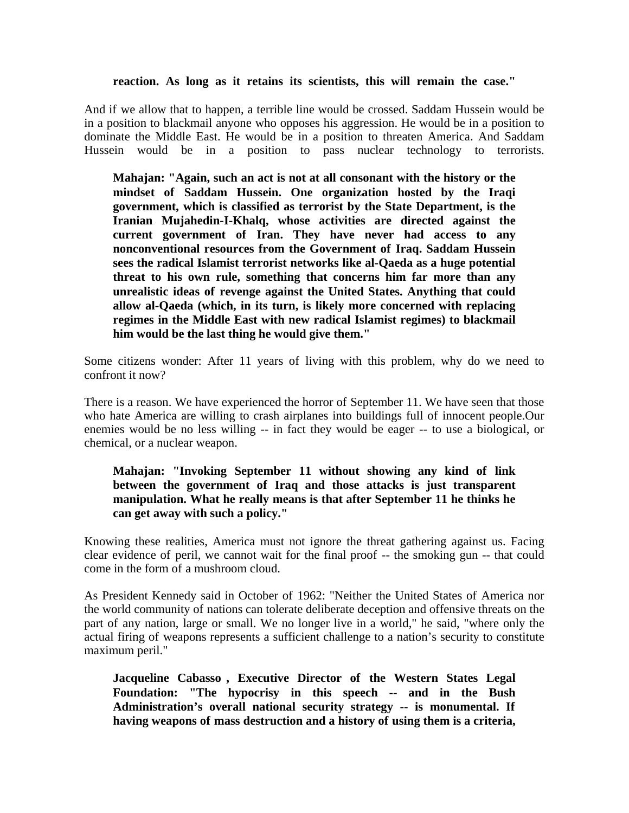#### **reaction. As long as it retains its scientists, this will remain the case."**

And if we allow that to happen, a terrible line would be crossed. Saddam Hussein would be in a position to blackmail anyone who opposes his aggression. He would be in a position to dominate the Middle East. He would be in a position to threaten America. And Saddam Hussein would be in a position to pass nuclear technology to terrorists.

**Mahajan: "Again, such an act is not at all consonant with the history or the mindset of Saddam Hussein. One organization hosted by the Iraqi government, which is classified as terrorist by the State Department, is the Iranian Mujahedin-I-Khalq, whose activities are directed against the current government of Iran. They have never had access to any nonconventional resources from the Government of Iraq. Saddam Hussein sees the radical Islamist terrorist networks like al-Qaeda as a huge potential threat to his own rule, something that concerns him far more than any unrealistic ideas of revenge against the United States. Anything that could allow al-Qaeda (which, in its turn, is likely more concerned with replacing regimes in the Middle East with new radical Islamist regimes) to blackmail him would be the last thing he would give them."**

Some citizens wonder: After 11 years of living with this problem, why do we need to confront it now?

There is a reason. We have experienced the horror of September 11. We have seen that those who hate America are willing to crash airplanes into buildings full of innocent people.Our enemies would be no less willing -- in fact they would be eager -- to use a biological, or chemical, or a nuclear weapon.

## **Mahajan: "Invoking September 11 without showing any kind of link between the government of Iraq and those attacks is just transparent manipulation. What he really means is that after September 11 he thinks he can get away with such a policy."**

Knowing these realities, America must not ignore the threat gathering against us. Facing clear evidence of peril, we cannot wait for the final proof -- the smoking gun -- that could come in the form of a mushroom cloud.

As President Kennedy said in October of 1962: "Neither the United States of America nor the world community of nations can tolerate deliberate deception and offensive threats on the part of any nation, large or small. We no longer live in a world," he said, "where only the actual firing of weapons represents a sufficient challenge to a nation's security to constitute maximum peril."

**Jacqueline Cabasso , Executive Director of the Western States Legal Foundation: "The hypocrisy in this speech -- and in the Bush Administration's overall national security strategy -- is monumental. If having weapons of mass destruction and a history of using them is a criteria,**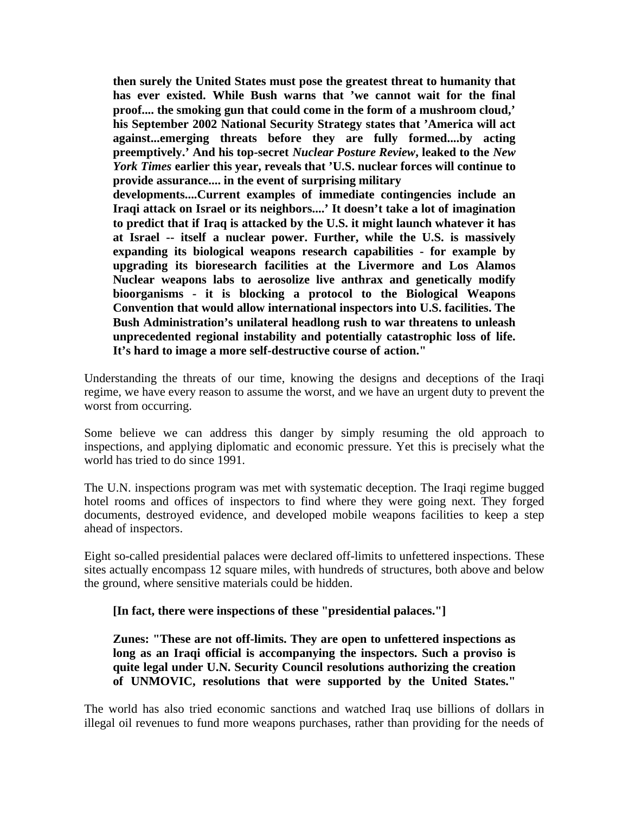**then surely the United States must pose the greatest threat to humanity that has ever existed. While Bush warns that 'we cannot wait for the final proof.... the smoking gun that could come in the form of a mushroom cloud,' his September 2002 National Security Strategy states that 'America will act against...emerging threats before they are fully formed....by acting preemptively.' And his top-secret** *Nuclear Posture Review***, leaked to the** *New York Times* **earlier this year, reveals that 'U.S. nuclear forces will continue to provide assurance.... in the event of surprising military**

**developments....Current examples of immediate contingencies include an Iraqi attack on Israel or its neighbors....' It doesn't take a lot of imagination to predict that if Iraq is attacked by the U.S. it might launch whatever it has at Israel -- itself a nuclear power. Further, while the U.S. is massively expanding its biological weapons research capabilities - for example by upgrading its bioresearch facilities at the Livermore and Los Alamos Nuclear weapons labs to aerosolize live anthrax and genetically modify bioorganisms - it is blocking a protocol to the Biological Weapons Convention that would allow international inspectors into U.S. facilities. The Bush Administration's unilateral headlong rush to war threatens to unleash unprecedented regional instability and potentially catastrophic loss of life. It's hard to image a more self-destructive course of action."**

Understanding the threats of our time, knowing the designs and deceptions of the Iraqi regime, we have every reason to assume the worst, and we have an urgent duty to prevent the worst from occurring.

Some believe we can address this danger by simply resuming the old approach to inspections, and applying diplomatic and economic pressure. Yet this is precisely what the world has tried to do since 1991.

The U.N. inspections program was met with systematic deception. The Iraqi regime bugged hotel rooms and offices of inspectors to find where they were going next. They forged documents, destroyed evidence, and developed mobile weapons facilities to keep a step ahead of inspectors.

Eight so-called presidential palaces were declared off-limits to unfettered inspections. These sites actually encompass 12 square miles, with hundreds of structures, both above and below the ground, where sensitive materials could be hidden.

**[In fact, there were inspections of these "presidential palaces."]**

**Zunes: "These are not off-limits. They are open to unfettered inspections as long as an Iraqi official is accompanying the inspectors. Such a proviso is quite legal under U.N. Security Council resolutions authorizing the creation of UNMOVIC, resolutions that were supported by the United States."**

The world has also tried economic sanctions and watched Iraq use billions of dollars in illegal oil revenues to fund more weapons purchases, rather than providing for the needs of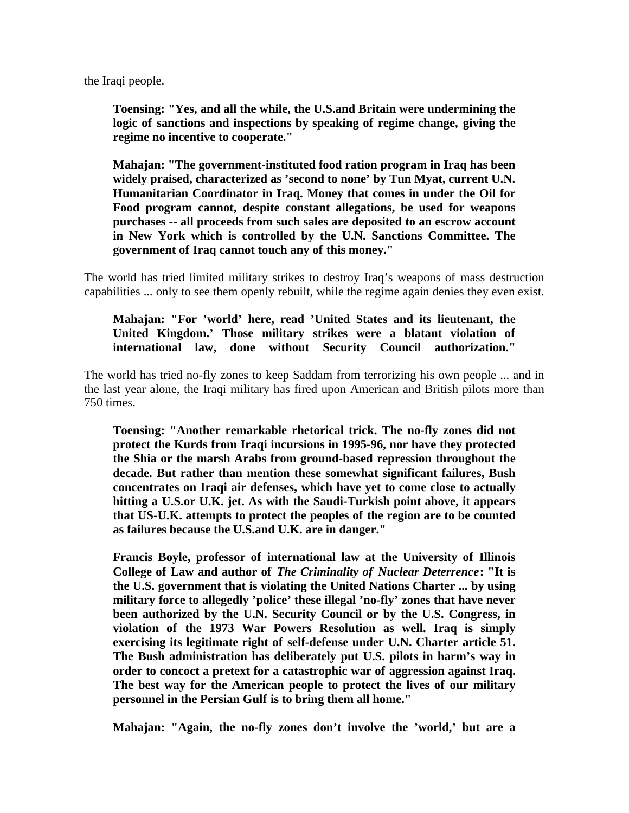the Iraqi people.

**Toensing: "Yes, and all the while, the U.S.and Britain were undermining the logic of sanctions and inspections by speaking of regime change, giving the regime no incentive to cooperate."**

**Mahajan: "The government-instituted food ration program in Iraq has been widely praised, characterized as 'second to none' by Tun Myat, current U.N. Humanitarian Coordinator in Iraq. Money that comes in under the Oil for Food program cannot, despite constant allegations, be used for weapons purchases -- all proceeds from such sales are deposited to an escrow account in New York which is controlled by the U.N. Sanctions Committee. The government of Iraq cannot touch any of this money."** 

The world has tried limited military strikes to destroy Iraq's weapons of mass destruction capabilities ... only to see them openly rebuilt, while the regime again denies they even exist.

## **Mahajan: "For 'world' here, read 'United States and its lieutenant, the United Kingdom.' Those military strikes were a blatant violation of international law, done without Security Council authorization."**

The world has tried no-fly zones to keep Saddam from terrorizing his own people ... and in the last year alone, the Iraqi military has fired upon American and British pilots more than 750 times.

**Toensing: "Another remarkable rhetorical trick. The no-fly zones did not protect the Kurds from Iraqi incursions in 1995-96, nor have they protected the Shia or the marsh Arabs from ground-based repression throughout the decade. But rather than mention these somewhat significant failures, Bush concentrates on Iraqi air defenses, which have yet to come close to actually hitting a U.S.or U.K. jet. As with the Saudi-Turkish point above, it appears that US-U.K. attempts to protect the peoples of the region are to be counted as failures because the U.S.and U.K. are in danger."**

**Francis Boyle, professor of international law at the University of Illinois College of Law and author of** *The Criminality of Nuclear Deterrence***: "It is the U.S. government that is violating the United Nations Charter ... by using military force to allegedly 'police' these illegal 'no-fly' zones that have never been authorized by the U.N. Security Council or by the U.S. Congress, in violation of the 1973 War Powers Resolution as well. Iraq is simply exercising its legitimate right of self-defense under U.N. Charter article 51. The Bush administration has deliberately put U.S. pilots in harm's way in order to concoct a pretext for a catastrophic war of aggression against Iraq. The best way for the American people to protect the lives of our military personnel in the Persian Gulf is to bring them all home."** 

**Mahajan: "Again, the no-fly zones don't involve the 'world,' but are a**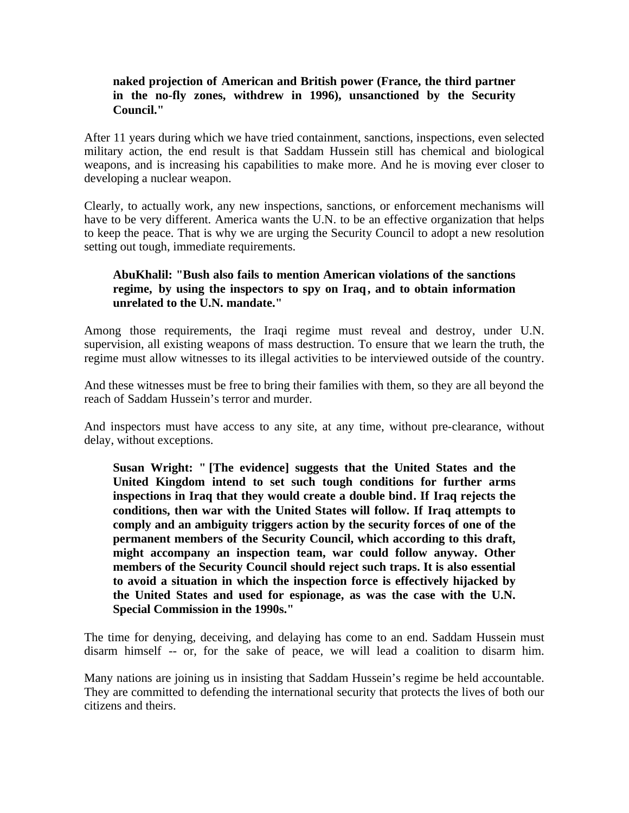### **naked projection of American and British power (France, the third partner in the no-fly zones, withdrew in 1996), unsanctioned by the Security Council."**

After 11 years during which we have tried containment, sanctions, inspections, even selected military action, the end result is that Saddam Hussein still has chemical and biological weapons, and is increasing his capabilities to make more. And he is moving ever closer to developing a nuclear weapon.

Clearly, to actually work, any new inspections, sanctions, or enforcement mechanisms will have to be very different. America wants the U.N. to be an effective organization that helps to keep the peace. That is why we are urging the Security Council to adopt a new resolution setting out tough, immediate requirements.

## **AbuKhalil: "Bush also fails to mention American violations of the sanctions regime, by using the inspectors to spy on Iraq, and to obtain information unrelated to the U.N. mandate."**

Among those requirements, the Iraqi regime must reveal and destroy, under U.N. supervision, all existing weapons of mass destruction. To ensure that we learn the truth, the regime must allow witnesses to its illegal activities to be interviewed outside of the country.

And these witnesses must be free to bring their families with them, so they are all beyond the reach of Saddam Hussein's terror and murder.

And inspectors must have access to any site, at any time, without pre-clearance, without delay, without exceptions.

**Susan Wright: " [The evidence] suggests that the United States and the United Kingdom intend to set such tough conditions for further arms inspections in Iraq that they would create a double bind. If Iraq rejects the conditions, then war with the United States will follow. If Iraq attempts to comply and an ambiguity triggers action by the security forces of one of the permanent members of the Security Council, which according to this draft, might accompany an inspection team, war could follow anyway. Other members of the Security Council should reject such traps. It is also essential to avoid a situation in which the inspection force is effectively hijacked by the United States and used for espionage, as was the case with the U.N. Special Commission in the 1990s."**

The time for denying, deceiving, and delaying has come to an end. Saddam Hussein must disarm himself -- or, for the sake of peace, we will lead a coalition to disarm him.

Many nations are joining us in insisting that Saddam Hussein's regime be held accountable. They are committed to defending the international security that protects the lives of both our citizens and theirs.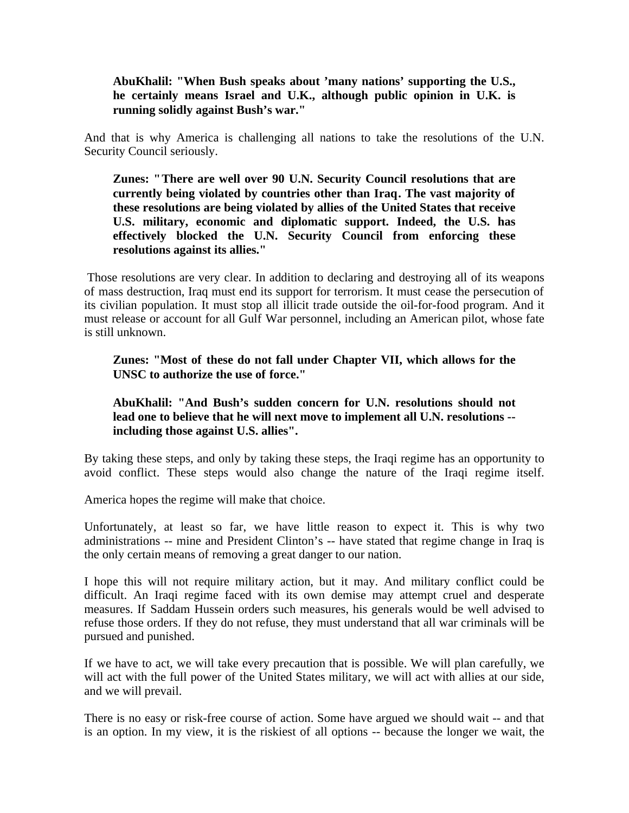**AbuKhalil: "When Bush speaks about 'many nations' supporting the U.S., he certainly means Israel and U.K., although public opinion in U.K. is running solidly against Bush's war."**

And that is why America is challenging all nations to take the resolutions of the U.N. Security Council seriously.

**Zunes: "There are well over 90 U.N. Security Council resolutions that are currently being violated by countries other than Iraq. The vast majority of these resolutions are being violated by allies of the United States that receive U.S. military, economic and diplomatic support. Indeed, the U.S. has effectively blocked the U.N. Security Council from enforcing these resolutions against its allies."** 

 Those resolutions are very clear. In addition to declaring and destroying all of its weapons of mass destruction, Iraq must end its support for terrorism. It must cease the persecution of its civilian population. It must stop all illicit trade outside the oil-for-food program. And it must release or account for all Gulf War personnel, including an American pilot, whose fate is still unknown.

**Zunes: "Most of these do not fall under Chapter VII, which allows for the UNSC to authorize the use of force."**

**AbuKhalil: "And Bush's sudden concern for U.N. resolutions should not lead one to believe that he will next move to implement all U.N. resolutions - including those against U.S. allies".** 

By taking these steps, and only by taking these steps, the Iraqi regime has an opportunity to avoid conflict. These steps would also change the nature of the Iraqi regime itself.

America hopes the regime will make that choice.

Unfortunately, at least so far, we have little reason to expect it. This is why two administrations -- mine and President Clinton's -- have stated that regime change in Iraq is the only certain means of removing a great danger to our nation.

I hope this will not require military action, but it may. And military conflict could be difficult. An Iraqi regime faced with its own demise may attempt cruel and desperate measures. If Saddam Hussein orders such measures, his generals would be well advised to refuse those orders. If they do not refuse, they must understand that all war criminals will be pursued and punished.

If we have to act, we will take every precaution that is possible. We will plan carefully, we will act with the full power of the United States military, we will act with allies at our side, and we will prevail.

There is no easy or risk-free course of action. Some have argued we should wait -- and that is an option. In my view, it is the riskiest of all options -- because the longer we wait, the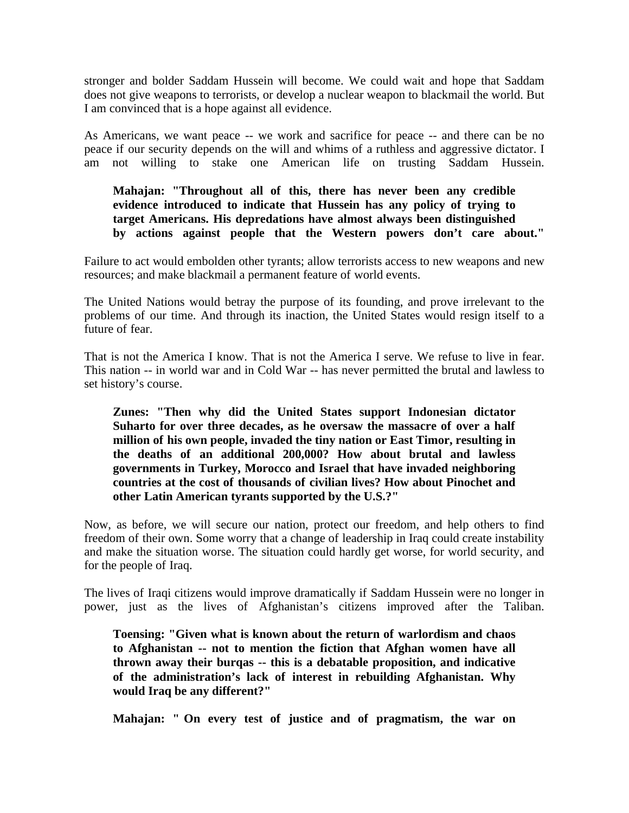stronger and bolder Saddam Hussein will become. We could wait and hope that Saddam does not give weapons to terrorists, or develop a nuclear weapon to blackmail the world. But I am convinced that is a hope against all evidence.

As Americans, we want peace -- we work and sacrifice for peace -- and there can be no peace if our security depends on the will and whims of a ruthless and aggressive dictator. I am not willing to stake one American life on trusting Saddam Hussein.

## **Mahajan: "Throughout all of this, there has never been any credible evidence introduced to indicate that Hussein has any policy of trying to target Americans. His depredations have almost always been distinguished by actions against people that the Western powers don't care about."**

Failure to act would embolden other tyrants; allow terrorists access to new weapons and new resources; and make blackmail a permanent feature of world events.

The United Nations would betray the purpose of its founding, and prove irrelevant to the problems of our time. And through its inaction, the United States would resign itself to a future of fear.

That is not the America I know. That is not the America I serve. We refuse to live in fear. This nation -- in world war and in Cold War -- has never permitted the brutal and lawless to set history's course.

**Zunes: "Then why did the United States support Indonesian dictator Suharto for over three decades, as he oversaw the massacre of over a half million of his own people, invaded the tiny nation or East Timor, resulting in the deaths of an additional 200,000? How about brutal and lawless governments in Turkey, Morocco and Israel that have invaded neighboring countries at the cost of thousands of civilian lives? How about Pinochet and other Latin American tyrants supported by the U.S.?"**

Now, as before, we will secure our nation, protect our freedom, and help others to find freedom of their own. Some worry that a change of leadership in Iraq could create instability and make the situation worse. The situation could hardly get worse, for world security, and for the people of Iraq.

The lives of Iraqi citizens would improve dramatically if Saddam Hussein were no longer in power, just as the lives of Afghanistan's citizens improved after the Taliban.

**Toensing: "Given what is known about the return of warlordism and chaos to Afghanistan -- not to mention the fiction that Afghan women have all thrown away their burqas -- this is a debatable proposition, and indicative of the administration's lack of interest in rebuilding Afghanistan. Why would Iraq be any different?"**

**Mahajan: " On every test of justice and of pragmatism, the war on**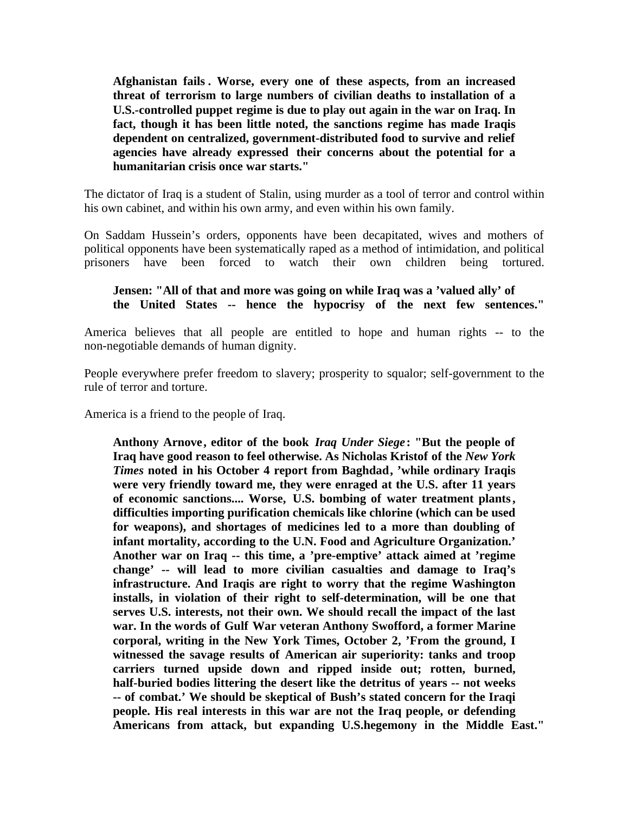**Afghanistan fails . Worse, every one of these aspects, from an increased threat of terrorism to large numbers of civilian deaths to installation of a U.S.-controlled puppet regime is due to play out again in the war on Iraq. In fact, though it has been little noted, the sanctions regime has made Iraqis dependent on centralized, government-distributed food to survive and relief agencies have already expressed their concerns about the potential for a humanitarian crisis once war starts."**

The dictator of Iraq is a student of Stalin, using murder as a tool of terror and control within his own cabinet, and within his own army, and even within his own family.

On Saddam Hussein's orders, opponents have been decapitated, wives and mothers of political opponents have been systematically raped as a method of intimidation, and political prisoners have been forced to watch their own children being tortured.

## **Jensen: "All of that and more was going on while Iraq was a 'valued ally' of the United States -- hence the hypocrisy of the next few sentences."**

America believes that all people are entitled to hope and human rights -- to the non-negotiable demands of human dignity.

People everywhere prefer freedom to slavery; prosperity to squalor; self-government to the rule of terror and torture.

America is a friend to the people of Iraq.

**Anthony Arnove, editor of the book** *Iraq Under Siege***: "But the people of Iraq have good reason to feel otherwise. As Nicholas Kristof of the** *New York Times* **noted in his October 4 report from Baghdad, 'while ordinary Iraqis were very friendly toward me, they were enraged at the U.S. after 11 years of economic sanctions.... Worse, U.S. bombing of water treatment plants , difficulties importing purification chemicals like chlorine (which can be used for weapons), and shortages of medicines led to a more than doubling of infant mortality, according to the U.N. Food and Agriculture Organization.' Another war on Iraq -- this time, a 'pre-emptive' attack aimed at 'regime change' -- will lead to more civilian casualties and damage to Iraq's infrastructure. And Iraqis are right to worry that the regime Washington installs, in violation of their right to self-determination, will be one that serves U.S. interests, not their own. We should recall the impact of the last war. In the words of Gulf War veteran Anthony Swofford, a former Marine corporal, writing in the New York Times, October 2, 'From the ground, I witnessed the savage results of American air superiority: tanks and troop carriers turned upside down and ripped inside out; rotten, burned, half-buried bodies littering the desert like the detritus of years -- not weeks -- of combat.' We should be skeptical of Bush's stated concern for the Iraqi people. His real interests in this war are not the Iraq people, or defending Americans from attack, but expanding U.S.hegemony in the Middle East."**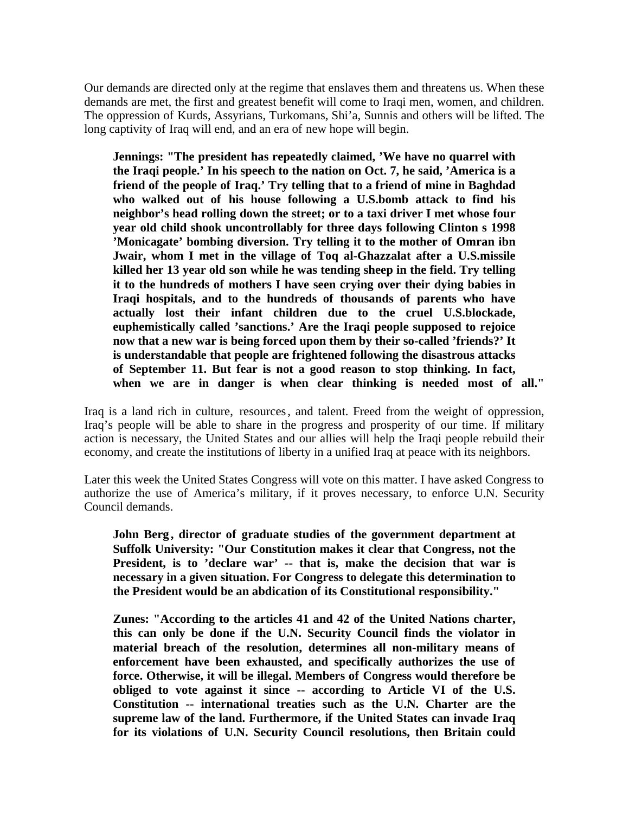Our demands are directed only at the regime that enslaves them and threatens us. When these demands are met, the first and greatest benefit will come to Iraqi men, women, and children. The oppression of Kurds, Assyrians, Turkomans, Shi'a, Sunnis and others will be lifted. The long captivity of Iraq will end, and an era of new hope will begin.

**Jennings: "The president has repeatedly claimed, 'We have no quarrel with the Iraqi people.' In his speech to the nation on Oct. 7, he said, 'America is a friend of the people of Iraq.' Try telling that to a friend of mine in Baghdad who walked out of his house following a U.S.bomb attack to find his neighbor's head rolling down the street; or to a taxi driver I met whose four year old child shook uncontrollably for three days following Clinton s 1998 'Monicagate' bombing diversion. Try telling it to the mother of Omran ibn Jwair, whom I met in the village of Toq al-Ghazzalat after a U.S.missile killed her 13 year old son while he was tending sheep in the field. Try telling it to the hundreds of mothers I have seen crying over their dying babies in Iraqi hospitals, and to the hundreds of thousands of parents who have actually lost their infant children due to the cruel U.S.blockade, euphemistically called 'sanctions.' Are the Iraqi people supposed to rejoice now that a new war is being forced upon them by their so-called 'friends?' It is understandable that people are frightened following the disastrous attacks of September 11. But fear is not a good reason to stop thinking. In fact, when we are in danger is when clear thinking is needed most of all."**

Iraq is a land rich in culture, resources , and talent. Freed from the weight of oppression, Iraq's people will be able to share in the progress and prosperity of our time. If military action is necessary, the United States and our allies will help the Iraqi people rebuild their economy, and create the institutions of liberty in a unified Iraq at peace with its neighbors.

Later this week the United States Congress will vote on this matter. I have asked Congress to authorize the use of America's military, if it proves necessary, to enforce U.N. Security Council demands.

**John Berg , director of graduate studies of the government department at Suffolk University: "Our Constitution makes it clear that Congress, not the President, is to 'declare war' -- that is, make the decision that war is necessary in a given situation. For Congress to delegate this determination to the President would be an abdication of its Constitutional responsibility."**

**Zunes: "According to the articles 41 and 42 of the United Nations charter, this can only be done if the U.N. Security Council finds the violator in material breach of the resolution, determines all non-military means of enforcement have been exhausted, and specifically authorizes the use of force. Otherwise, it will be illegal. Members of Congress would therefore be obliged to vote against it since -- according to Article VI of the U.S. Constitution -- international treaties such as the U.N. Charter are the supreme law of the land. Furthermore, if the United States can invade Iraq for its violations of U.N. Security Council resolutions, then Britain could**